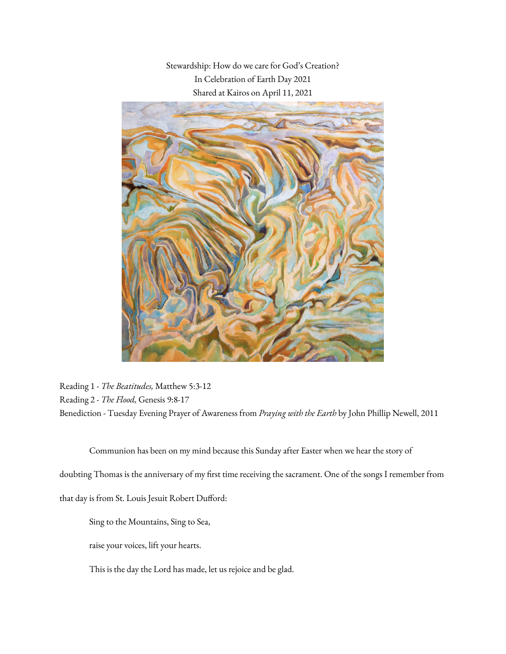Stewardship: How do we care for God's Creation? In Celebration of Earth Day 2021 Shared at Kairos on April 11, 2021



Reading 1 - *The Beatitudes,* Matthew 5:3-12 Reading 2 - *The Flood,* Genesis 9:8-17 Benediction - Tuesday Evening Prayer of Awareness from *Praying with the Earth* by John Phillip Newell, 2011

Communion has been on my mind because this Sunday after Easter when we hear the story of doubting Thomas is the anniversary of my first time receiving the sacrament. One of the songs I remember from that day is from St. Louis Jesuit Robert Dufford:

Sing to the Mountains, Sing to Sea,

raise your voices, lift your hearts.

This is the day the Lord has made, let us rejoice and be glad.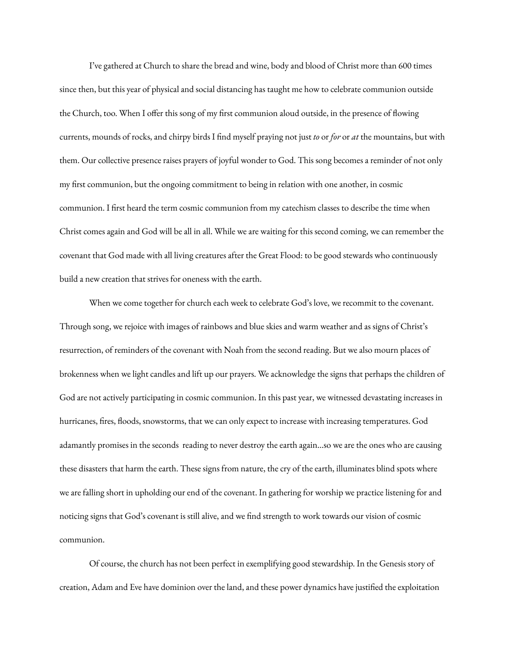I've gathered at Church to share the bread and wine, body and blood of Christ more than 600 times since then, but this year of physical and social distancing has taught me how to celebrate communion outside the Church, too. When I offer this song of my first communion aloud outside, in the presence of flowing currents, mounds of rocks, and chirpy birds I find myself praying not just *to* or *for* or *at* the mountains, but with them. Our collective presence raises prayers of joyful wonder to God. This song becomes a reminder of not only my first communion, but the ongoing commitment to being in relation with one another, in cosmic communion. I first heard the term cosmic communion from my catechism classes to describe the time when Christ comes again and God will be all in all. While we are waiting for this second coming, we can remember the covenant that God made with all living creatures after the Great Flood: to be good stewards who continuously build a new creation that strives for oneness with the earth.

When we come together for church each week to celebrate God's love, we recommit to the covenant. Through song, we rejoice with images of rainbows and blue skies and warm weather and as signs of Christ's resurrection, of reminders of the covenant with Noah from the second reading. But we also mourn places of brokenness when we light candles and lift up our prayers. We acknowledge the signs that perhaps the children of God are not actively participating in cosmic communion. In this past year, we witnessed devastating increases in hurricanes, fires, floods, snowstorms, that we can only expect to increase with increasing temperatures. God adamantly promises in the seconds reading to never destroy the earth again...so we are the ones who are causing these disasters that harm the earth. These signs from nature, the cry of the earth, illuminates blind spots where we are falling short in upholding our end of the covenant. In gathering for worship we practice listening for and noticing signs that God's covenant is still alive, and we find strength to work towards our vision of cosmic communion.

Of course, the church has not been perfect in exemplifying good stewardship. In the Genesis story of creation, Adam and Eve have dominion over the land, and these power dynamics have justified the exploitation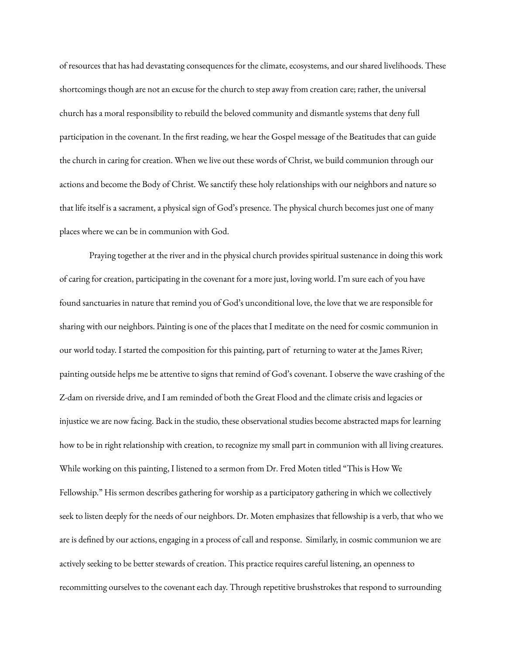of resources that has had devastating consequences for the climate, ecosystems, and our shared livelihoods. These shortcomings though are not an excuse for the church to step away from creation care; rather, the universal church has a moral responsibility to rebuild the beloved community and dismantle systems that deny full participation in the covenant. In the first reading, we hear the Gospel message of the Beatitudes that can guide the church in caring for creation. When we live out these words of Christ, we build communion through our actions and become the Body of Christ. We sanctify these holy relationships with our neighbors and nature so that life itself is a sacrament, a physical sign of God's presence. The physical church becomes just one of many places where we can be in communion with God.

Praying together at the river and in the physical church provides spiritual sustenance in doing this work of caring for creation, participating in the covenant for a more just, loving world. I'm sure each of you have found sanctuaries in nature that remind you of God's unconditional love, the love that we are responsible for sharing with our neighbors. Painting is one of the places that I meditate on the need for cosmic communion in our world today. I started the composition for this painting, part of returning to water at the James River; painting outside helps me be attentive to signs that remind of God's covenant. I observe the wave crashing of the Z-dam on riverside drive, and I am reminded of both the Great Flood and the climate crisis and legacies or injustice we are now facing. Back in the studio, these observational studies become abstracted maps for learning how to be in right relationship with creation, to recognize my small part in communion with all living creatures. While working on this painting, I listened to a sermon from Dr. Fred Moten titled "This is How We Fellowship." His sermon describes gathering for worship as a participatory gathering in which we collectively seek to listen deeply for the needs of our neighbors. Dr. Moten emphasizes that fellowship is a verb, that who we are is defined by our actions, engaging in a process of call and response. Similarly, in cosmic communion we are actively seeking to be better stewards of creation. This practice requires careful listening, an openness to recommitting ourselves to the covenant each day. Through repetitive brushstrokes that respond to surrounding